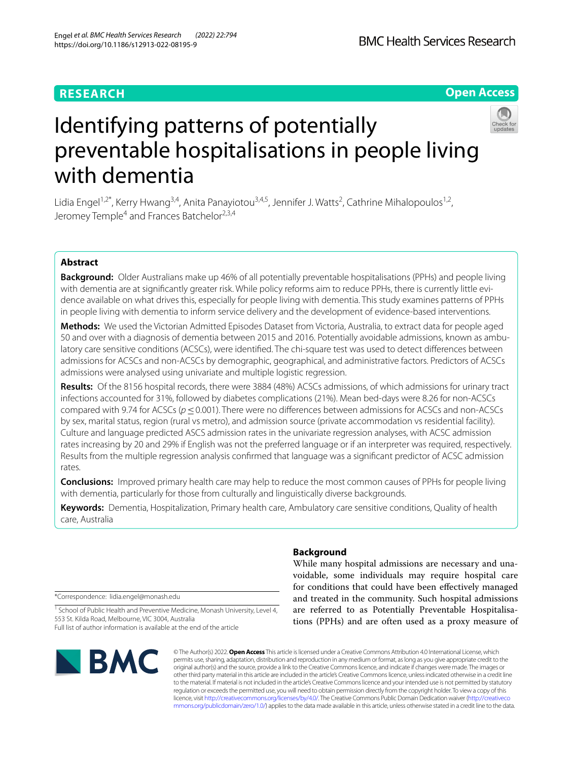# **RESEARCH**

# **Open Access**



# Identifying patterns of potentially preventable hospitalisations in people living with dementia

Lidia Engel<sup>1,2\*</sup>, Kerry Hwang<sup>3,4</sup>, Anita Panayiotou<sup>3,4,5</sup>, Jennifer J. Watts<sup>2</sup>, Cathrine Mihalopoulos<sup>1,2</sup>, Jeromey Temple<sup>4</sup> and Frances Batchelor<sup>2,3,4</sup>

# **Abstract**

**Background:** Older Australians make up 46% of all potentially preventable hospitalisations (PPHs) and people living with dementia are at signifcantly greater risk. While policy reforms aim to reduce PPHs, there is currently little evidence available on what drives this, especially for people living with dementia. This study examines patterns of PPHs in people living with dementia to inform service delivery and the development of evidence-based interventions.

**Methods:** We used the Victorian Admitted Episodes Dataset from Victoria, Australia, to extract data for people aged 50 and over with a diagnosis of dementia between 2015 and 2016. Potentially avoidable admissions, known as ambulatory care sensitive conditions (ACSCs), were identifed. The chi-square test was used to detect diferences between admissions for ACSCs and non-ACSCs by demographic, geographical, and administrative factors. Predictors of ACSCs admissions were analysed using univariate and multiple logistic regression.

**Results:** Of the 8156 hospital records, there were 3884 (48%) ACSCs admissions, of which admissions for urinary tract infections accounted for 31%, followed by diabetes complications (21%). Mean bed-days were 8.26 for non-ACSCs compared with 9.74 for ACSCs (*p*≤0.001). There were no diferences between admissions for ACSCs and non-ACSCs by sex, marital status, region (rural vs metro), and admission source (private accommodation vs residential facility). Culture and language predicted ASCS admission rates in the univariate regression analyses, with ACSC admission rates increasing by 20 and 29% if English was not the preferred language or if an interpreter was required, respectively. Results from the multiple regression analysis confrmed that language was a signifcant predictor of ACSC admission rates.

**Conclusions:** Improved primary health care may help to reduce the most common causes of PPHs for people living with dementia, particularly for those from culturally and linguistically diverse backgrounds.

**Keywords:** Dementia, Hospitalization, Primary health care, Ambulatory care sensitive conditions, Quality of health care, Australia

\*Correspondence: lidia.engel@monash.edu

<sup>1</sup> School of Public Health and Preventive Medicine, Monash University, Level 4, 553 St. Kilda Road, Melbourne, VIC 3004, Australia Full list of author information is available at the end of the article



# **Background**

While many hospital admissions are necessary and unavoidable, some individuals may require hospital care for conditions that could have been efectively managed and treated in the community. Such hospital admissions are referred to as Potentially Preventable Hospitalisations (PPHs) and are often used as a proxy measure of

© The Author(s) 2022. **Open Access** This article is licensed under a Creative Commons Attribution 4.0 International License, which permits use, sharing, adaptation, distribution and reproduction in any medium or format, as long as you give appropriate credit to the original author(s) and the source, provide a link to the Creative Commons licence, and indicate if changes were made. The images or other third party material in this article are included in the article's Creative Commons licence, unless indicated otherwise in a credit line to the material. If material is not included in the article's Creative Commons licence and your intended use is not permitted by statutory regulation or exceeds the permitted use, you will need to obtain permission directly from the copyright holder. To view a copy of this licence, visit [http://creativecommons.org/licenses/by/4.0/.](http://creativecommons.org/licenses/by/4.0/) The Creative Commons Public Domain Dedication waiver ([http://creativeco](http://creativecommons.org/publicdomain/zero/1.0/) [mmons.org/publicdomain/zero/1.0/](http://creativecommons.org/publicdomain/zero/1.0/)) applies to the data made available in this article, unless otherwise stated in a credit line to the data.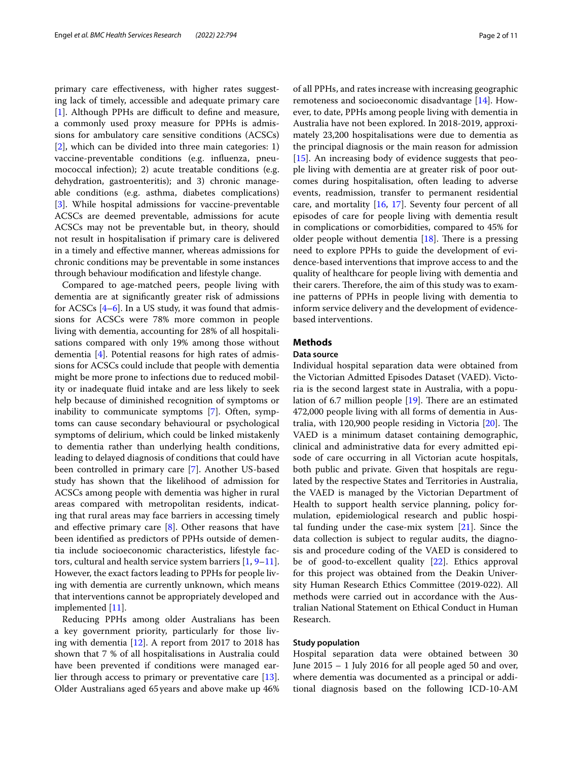primary care efectiveness, with higher rates suggesting lack of timely, accessible and adequate primary care [[1\]](#page-8-0). Although PPHs are difficult to define and measure, a commonly used proxy measure for PPHs is admissions for ambulatory care sensitive conditions (ACSCs) [[2\]](#page-8-1), which can be divided into three main categories: 1) vaccine-preventable conditions (e.g. infuenza, pneumococcal infection); 2) acute treatable conditions (e.g. dehydration, gastroenteritis); and 3) chronic manageable conditions (e.g. asthma, diabetes complications) [[3\]](#page-8-2). While hospital admissions for vaccine-preventable ACSCs are deemed preventable, admissions for acute ACSCs may not be preventable but, in theory, should not result in hospitalisation if primary care is delivered in a timely and efective manner, whereas admissions for chronic conditions may be preventable in some instances through behaviour modifcation and lifestyle change.

Compared to age-matched peers, people living with dementia are at signifcantly greater risk of admissions for ACSCs  $[4-6]$  $[4-6]$ . In a US study, it was found that admissions for ACSCs were 78% more common in people living with dementia, accounting for 28% of all hospitalisations compared with only 19% among those without dementia [[4\]](#page-8-3). Potential reasons for high rates of admissions for ACSCs could include that people with dementia might be more prone to infections due to reduced mobility or inadequate fuid intake and are less likely to seek help because of diminished recognition of symptoms or inability to communicate symptoms [[7\]](#page-9-0). Often, symptoms can cause secondary behavioural or psychological symptoms of delirium, which could be linked mistakenly to dementia rather than underlying health conditions, leading to delayed diagnosis of conditions that could have been controlled in primary care [[7\]](#page-9-0). Another US-based study has shown that the likelihood of admission for ACSCs among people with dementia was higher in rural areas compared with metropolitan residents, indicating that rural areas may face barriers in accessing timely and effective primary care  $[8]$  $[8]$ . Other reasons that have been identifed as predictors of PPHs outside of dementia include socioeconomic characteristics, lifestyle factors, cultural and health service system barriers [\[1,](#page-8-0) [9](#page-9-2)[–11](#page-9-3)]. However, the exact factors leading to PPHs for people living with dementia are currently unknown, which means that interventions cannot be appropriately developed and implemented [\[11](#page-9-3)].

Reducing PPHs among older Australians has been a key government priority, particularly for those living with dementia [[12](#page-9-4)]. A report from 2017 to 2018 has shown that 7 % of all hospitalisations in Australia could have been prevented if conditions were managed earlier through access to primary or preventative care [\[13](#page-9-5)]. Older Australians aged 65years and above make up 46% of all PPHs, and rates increase with increasing geographic remoteness and socioeconomic disadvantage [[14\]](#page-9-6). However, to date, PPHs among people living with dementia in Australia have not been explored. In 2018-2019, approximately 23,200 hospitalisations were due to dementia as the principal diagnosis or the main reason for admission [[15\]](#page-9-7). An increasing body of evidence suggests that people living with dementia are at greater risk of poor outcomes during hospitalisation, often leading to adverse events, readmission, transfer to permanent residential care, and mortality [\[16](#page-9-8), [17](#page-9-9)]. Seventy four percent of all episodes of care for people living with dementia result in complications or comorbidities, compared to 45% for older people without dementia  $[18]$  $[18]$ . There is a pressing need to explore PPHs to guide the development of evidence-based interventions that improve access to and the quality of healthcare for people living with dementia and their carers. Therefore, the aim of this study was to examine patterns of PPHs in people living with dementia to inform service delivery and the development of evidencebased interventions.

# **Methods**

# **Data source**

Individual hospital separation data were obtained from the Victorian Admitted Episodes Dataset (VAED). Victoria is the second largest state in Australia, with a population of 6.7 million people  $[19]$  $[19]$ . There are an estimated 472,000 people living with all forms of dementia in Australia, with  $120,900$  people residing in Victoria  $[20]$  $[20]$ . The VAED is a minimum dataset containing demographic, clinical and administrative data for every admitted episode of care occurring in all Victorian acute hospitals, both public and private. Given that hospitals are regulated by the respective States and Territories in Australia, the VAED is managed by the Victorian Department of Health to support health service planning, policy formulation, epidemiological research and public hospital funding under the case-mix system [\[21](#page-9-13)]. Since the data collection is subject to regular audits, the diagnosis and procedure coding of the VAED is considered to be of good-to-excellent quality [[22](#page-9-14)]. Ethics approval for this project was obtained from the Deakin University Human Research Ethics Committee (2019-022). All methods were carried out in accordance with the Australian National Statement on Ethical Conduct in Human Research.

## **Study population**

Hospital separation data were obtained between 30 June 2015 – 1 July 2016 for all people aged 50 and over, where dementia was documented as a principal or additional diagnosis based on the following ICD-10-AM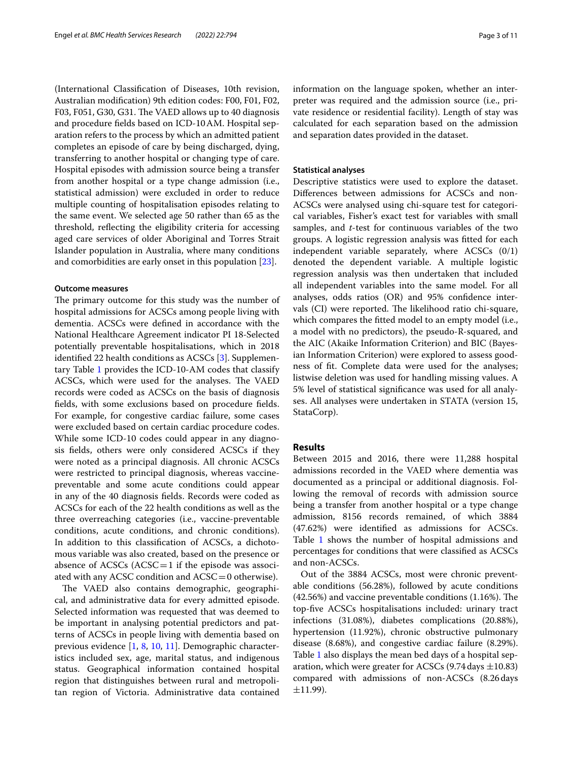(International Classifcation of Diseases, 10th revision, Australian modifcation) 9th edition codes: F00, F01, F02, F03, F051, G30, G31. The VAED allows up to 40 diagnosis and procedure felds based on ICD-10AM. Hospital separation refers to the process by which an admitted patient completes an episode of care by being discharged, dying, transferring to another hospital or changing type of care. Hospital episodes with admission source being a transfer from another hospital or a type change admission (i.e., statistical admission) were excluded in order to reduce multiple counting of hospitalisation episodes relating to the same event. We selected age 50 rather than 65 as the threshold, refecting the eligibility criteria for accessing aged care services of older Aboriginal and Torres Strait Islander population in Australia, where many conditions and comorbidities are early onset in this population [\[23](#page-9-15)].

## **Outcome measures**

The primary outcome for this study was the number of hospital admissions for ACSCs among people living with dementia. ACSCs were defned in accordance with the National Healthcare Agreement indicator PI 18-Selected potentially preventable hospitalisations, which in 2018 identifed 22 health conditions as ACSCs [\[3](#page-8-2)]. Supplementary Table [1](#page-8-5) provides the ICD-10-AM codes that classify ACSCs, which were used for the analyses. The VAED records were coded as ACSCs on the basis of diagnosis felds, with some exclusions based on procedure felds. For example, for congestive cardiac failure, some cases were excluded based on certain cardiac procedure codes. While some ICD-10 codes could appear in any diagnosis felds, others were only considered ACSCs if they were noted as a principal diagnosis. All chronic ACSCs were restricted to principal diagnosis, whereas vaccinepreventable and some acute conditions could appear in any of the 40 diagnosis felds. Records were coded as ACSCs for each of the 22 health conditions as well as the three overreaching categories (i.e., vaccine-preventable conditions, acute conditions, and chronic conditions). In addition to this classifcation of ACSCs, a dichotomous variable was also created, based on the presence or absence of ACSCs  $(ACSC = 1$  if the episode was associated with any ACSC condition and  $ACSC = 0$  otherwise).

The VAED also contains demographic, geographical, and administrative data for every admitted episode. Selected information was requested that was deemed to be important in analysing potential predictors and patterns of ACSCs in people living with dementia based on previous evidence [[1,](#page-8-0) [8,](#page-9-1) [10,](#page-9-16) [11\]](#page-9-3). Demographic characteristics included sex, age, marital status, and indigenous status. Geographical information contained hospital region that distinguishes between rural and metropolitan region of Victoria. Administrative data contained information on the language spoken, whether an interpreter was required and the admission source (i.e., private residence or residential facility). Length of stay was calculated for each separation based on the admission and separation dates provided in the dataset.

# **Statistical analyses**

Descriptive statistics were used to explore the dataset. Diferences between admissions for ACSCs and non-ACSCs were analysed using chi-square test for categorical variables, Fisher's exact test for variables with small samples, and *t*-test for continuous variables of the two groups. A logistic regression analysis was ftted for each independent variable separately, where ACSCs (0/1) denoted the dependent variable. A multiple logistic regression analysis was then undertaken that included all independent variables into the same model. For all analyses, odds ratios (OR) and 95% confdence intervals (CI) were reported. The likelihood ratio chi-square, which compares the ftted model to an empty model (i.e., a model with no predictors), the pseudo-R-squared, and the AIC (Akaike Information Criterion) and BIC (Bayesian Information Criterion) were explored to assess goodness of ft. Complete data were used for the analyses; listwise deletion was used for handling missing values. A 5% level of statistical signifcance was used for all analyses. All analyses were undertaken in STATA (version 15, StataCorp).

## **Results**

Between 2015 and 2016, there were 11,288 hospital admissions recorded in the VAED where dementia was documented as a principal or additional diagnosis. Following the removal of records with admission source being a transfer from another hospital or a type change admission, 8156 records remained, of which 3884 (47.62%) were identifed as admissions for ACSCs. Table [1](#page-3-0) shows the number of hospital admissions and percentages for conditions that were classifed as ACSCs and non-ACSCs.

Out of the 3884 ACSCs, most were chronic preventable conditions (56.28%), followed by acute conditions  $(42.56%)$  and vaccine preventable conditions  $(1.16%)$ . The top-fve ACSCs hospitalisations included: urinary tract infections (31.08%), diabetes complications (20.88%), hypertension (11.92%), chronic obstructive pulmonary disease (8.68%), and congestive cardiac failure (8.29%). Table [1](#page-3-0) also displays the mean bed days of a hospital separation, which were greater for ACSCs  $(9.74 \text{ days } \pm 10.83)$ compared with admissions of non-ACSCs (8.26days  $\pm$ 11.99).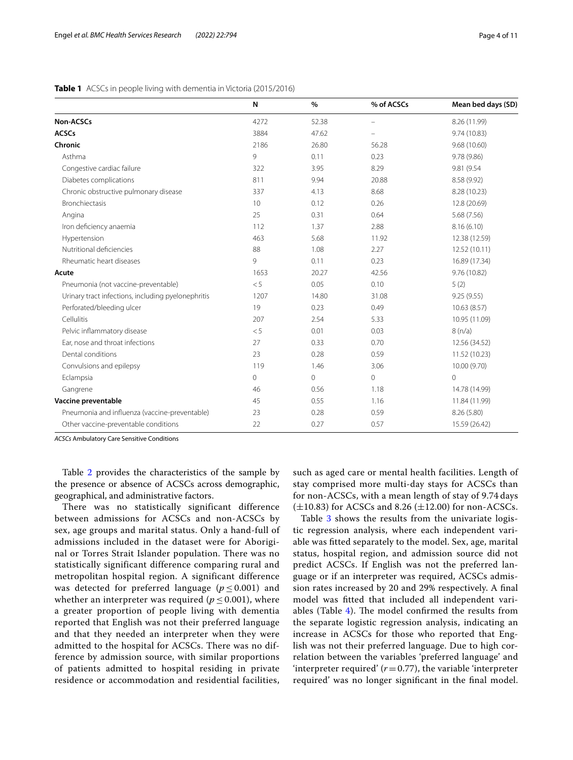<span id="page-3-0"></span>

|                                                    | N    | $\%$           | % of ACSCs | Mean bed days (SD) |
|----------------------------------------------------|------|----------------|------------|--------------------|
| Non-ACSCs                                          | 4272 | 52.38          |            | 8.26 (11.99)       |
| <b>ACSCs</b>                                       | 3884 | 47.62          |            | 9.74 (10.83)       |
| Chronic                                            | 2186 | 26.80          | 56.28      | 9.68 (10.60)       |
| Asthma                                             | 9    | 0.11           | 0.23       | 9.78 (9.86)        |
| Congestive cardiac failure                         | 322  | 3.95           | 8.29       | 9.81 (9.54)        |
| Diabetes complications                             | 811  | 9.94           | 20.88      | 8.58 (9.92)        |
| Chronic obstructive pulmonary disease              | 337  | 4.13           | 8.68       | 8.28 (10.23)       |
| <b>Bronchiectasis</b>                              | 10   | 0.12           | 0.26       | 12.8 (20.69)       |
| Angina                                             | 25   | 0.31           | 0.64       | 5.68 (7.56)        |
| Iron deficiency anaemia                            | 112  | 1.37           | 2.88       | 8.16(6.10)         |
| Hypertension                                       | 463  | 5.68           | 11.92      | 12.38 (12.59)      |
| Nutritional deficiencies                           | 88   | 1.08           | 2.27       | 12.52 (10.11)      |
| Rheumatic heart diseases                           | 9    | 0.11           | 0.23       | 16.89 (17.34)      |
| Acute                                              | 1653 | 20.27          | 42.56      | 9.76 (10.82)       |
| Pneumonia (not vaccine-preventable)                | < 5  | 0.05           | 0.10       | 5(2)               |
| Urinary tract infections, including pyelonephritis | 1207 | 14.80          | 31.08      | 9.25(9.55)         |
| Perforated/bleeding ulcer                          | 19   | 0.23           | 0.49       | 10.63(8.57)        |
| Cellulitis                                         | 207  | 2.54           | 5.33       | 10.95 (11.09)      |
| Pelvic inflammatory disease                        | < 5  | 0.01           | 0.03       | 8(n/a)             |
| Ear, nose and throat infections                    | 27   | 0.33           | 0.70       | 12.56 (34.52)      |
| Dental conditions                                  | 23   | 0.28           | 0.59       | 11.52 (10.23)      |
| Convulsions and epilepsy                           | 119  | 1.46           | 3.06       | 10.00 (9.70)       |
| Eclampsia                                          | 0    | $\overline{0}$ | 0          | $\Omega$           |
| Gangrene                                           | 46   | 0.56           | 1.18       | 14.78 (14.99)      |
| Vaccine preventable                                | 45   | 0.55           | 1.16       | 11.84 (11.99)      |
| Pneumonia and influenza (vaccine-preventable)      | 23   | 0.28           | 0.59       | 8.26 (5.80)        |
| Other vaccine-preventable conditions               | 22   | 0.27           | 0.57       | 15.59 (26.42)      |

*ACSCs* Ambulatory Care Sensitive Conditions

Table [2](#page-4-0) provides the characteristics of the sample by the presence or absence of ACSCs across demographic, geographical, and administrative factors.

There was no statistically significant difference between admissions for ACSCs and non-ACSCs by sex, age groups and marital status. Only a hand-full of admissions included in the dataset were for Aboriginal or Torres Strait Islander population. There was no statistically significant difference comparing rural and metropolitan hospital region. A significant difference was detected for preferred language ( $p \le 0.001$ ) and whether an interpreter was required ( $p \leq 0.001$ ), where a greater proportion of people living with dementia reported that English was not their preferred language and that they needed an interpreter when they were admitted to the hospital for ACSCs. There was no difference by admission source, with similar proportions of patients admitted to hospital residing in private residence or accommodation and residential facilities, such as aged care or mental health facilities. Length of stay comprised more multi-day stays for ACSCs than for non-ACSCs, with a mean length of stay of 9.74 days  $(\pm 10.83)$  for ACSCs and 8.26  $(\pm 12.00)$  for non-ACSCs.

Table [3](#page-4-1) shows the results from the univariate logistic regression analysis, where each independent variable was ftted separately to the model. Sex, age, marital status, hospital region, and admission source did not predict ACSCs. If English was not the preferred language or if an interpreter was required, ACSCs admission rates increased by 20 and 29% respectively. A fnal model was ftted that included all independent variables (Table  $4$ ). The model confirmed the results from the separate logistic regression analysis, indicating an increase in ACSCs for those who reported that English was not their preferred language. Due to high correlation between the variables 'preferred language' and 'interpreter required'  $(r=0.77)$ , the variable 'interpreter required' was no longer signifcant in the fnal model.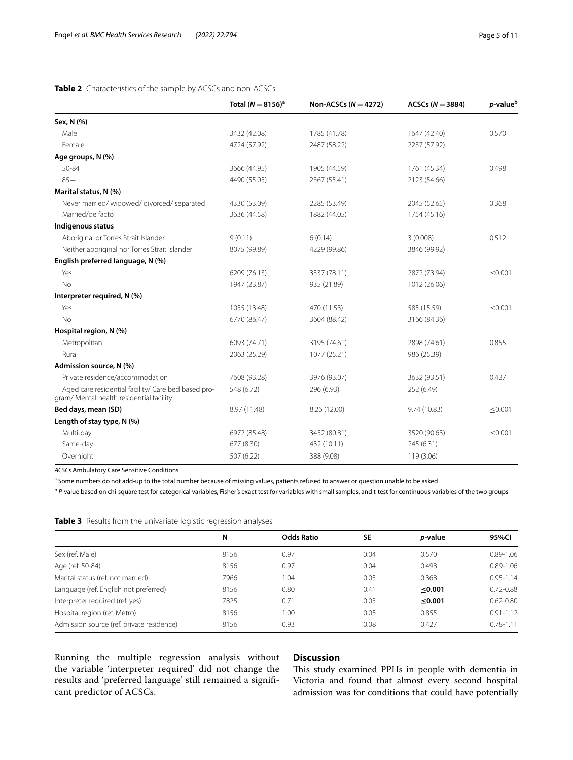# <span id="page-4-0"></span>**Table 2** Characteristics of the sample by ACSCs and non-ACSCs

|                                                                                                 | Total $(N=8156)^a$ | Non-ACSCs ( $N = 4272$ ) | ACSCs ( $N = 3884$ ) | p-value <sup>b</sup> |
|-------------------------------------------------------------------------------------------------|--------------------|--------------------------|----------------------|----------------------|
| Sex, N (%)                                                                                      |                    |                          |                      |                      |
| Male                                                                                            | 3432 (42.08)       | 1785 (41.78)             | 1647 (42.40)         | 0.570                |
| Female                                                                                          | 4724 (57.92)       | 2487 (58.22)             | 2237 (57.92)         |                      |
| Age groups, N (%)                                                                               |                    |                          |                      |                      |
| 50-84                                                                                           | 3666 (44.95)       | 1905 (44.59)             | 1761 (45.34)         | 0.498                |
| $85+$                                                                                           | 4490 (55.05)       | 2367 (55.41)             | 2123 (54.66)         |                      |
| Marital status, N (%)                                                                           |                    |                          |                      |                      |
| Never married/widowed/divorced/separated                                                        | 4330 (53.09)       | 2285 (53.49)             | 2045 (52.65)         | 0.368                |
| Married/de facto                                                                                | 3636 (44.58)       | 1882 (44.05)             | 1754 (45.16)         |                      |
| Indigenous status                                                                               |                    |                          |                      |                      |
| Aboriginal or Torres Strait Islander                                                            | 9(0.11)            | 6(0.14)                  | 3(0.008)             | 0.512                |
| Neither aboriginal nor Torres Strait Islander                                                   | 8075 (99.89)       | 4229 (99.86)             | 3846 (99.92)         |                      |
| English preferred language, N (%)                                                               |                    |                          |                      |                      |
| Yes                                                                                             | 6209 (76.13)       | 3337 (78.11)             | 2872 (73.94)         | ≤0.001               |
| No                                                                                              | 1947 (23.87)       | 935 (21.89)              | 1012 (26.06)         |                      |
| Interpreter required, N (%)                                                                     |                    |                          |                      |                      |
| Yes                                                                                             | 1055 (13.48)       | 470 (11.53)              | 585 (15.59)          | < 0.001              |
| No                                                                                              | 6770 (86.47)       | 3604 (88.42)             | 3166 (84.36)         |                      |
| Hospital region, N (%)                                                                          |                    |                          |                      |                      |
| Metropolitan                                                                                    | 6093 (74.71)       | 3195 (74.61)             | 2898 (74.61)         | 0.855                |
| Rural                                                                                           | 2063 (25.29)       | 1077 (25.21)             | 986 (25.39)          |                      |
| Admission source, N (%)                                                                         |                    |                          |                      |                      |
| Private residence/accommodation                                                                 | 7608 (93.28)       | 3976 (93.07)             | 3632 (93.51)         | 0.427                |
| Aged care residential facility/ Care bed based pro-<br>gram/ Mental health residential facility | 548 (6.72)         | 296 (6.93)               | 252 (6.49)           |                      |
| Bed days, mean (SD)                                                                             | 8.97 (11.48)       | 8.26 (12.00)             | 9.74 (10.83)         | ≤0.001               |
| Length of stay type, N (%)                                                                      |                    |                          |                      |                      |
| Multi-day                                                                                       | 6972 (85.48)       | 3452 (80.81)             | 3520 (90.63)         | ≤0.001               |
| Same-day                                                                                        | 677 (8.30)         | 432 (10.11)              | 245 (6.31)           |                      |
| Overnight                                                                                       | 507 (6.22)         | 388 (9.08)               | 119 (3.06)           |                      |
|                                                                                                 |                    |                          |                      |                      |

*ACSCs* Ambulatory Care Sensitive Conditions

<sup>a</sup> Some numbers do not add-up to the total number because of missing values, patients refused to answer or question unable to be asked

<sup>b</sup> P-value based on chi-square test for categorical variables, Fisher's exact test for variables with small samples, and t-test for continuous variables of the two groups

<span id="page-4-1"></span>

|  |  |  |  | <b>Table 3</b> Results from the univariate logistic regression analyses |  |
|--|--|--|--|-------------------------------------------------------------------------|--|
|--|--|--|--|-------------------------------------------------------------------------|--|

|                                           | N    | <b>Odds Ratio</b> | <b>SE</b> | <i>p</i> -value | 95%CI         |
|-------------------------------------------|------|-------------------|-----------|-----------------|---------------|
| Sex (ref. Male)                           | 8156 | 0.97              | 0.04      | 0.570           | $0.89 - 1.06$ |
| Age (ref. 50-84)                          | 8156 | 0.97              | 0.04      | 0.498           | $0.89 - 1.06$ |
| Marital status (ref. not married)         | 7966 | 1.04              | 0.05      | 0.368           | $0.95 - 1.14$ |
| Language (ref. English not preferred)     | 8156 | 0.80              | 0.41      | ≤0.001          | $0.72 - 0.88$ |
| Interpreter required (ref. yes)           | 7825 | 0.71              | 0.05      | ≤0.001          | $0.62 - 0.80$ |
| Hospital region (ref. Metro)              | 8156 | 1.00              | 0.05      | 0.855           | $0.91 - 1.12$ |
| Admission source (ref. private residence) | 8156 | 0.93              | 0.08      | 0.427           | $0.78 - 1.11$ |

Running the multiple regression analysis without the variable 'interpreter required' did not change the results and 'preferred language' still remained a signifcant predictor of ACSCs.

# **Discussion**

This study examined PPHs in people with dementia in Victoria and found that almost every second hospital admission was for conditions that could have potentially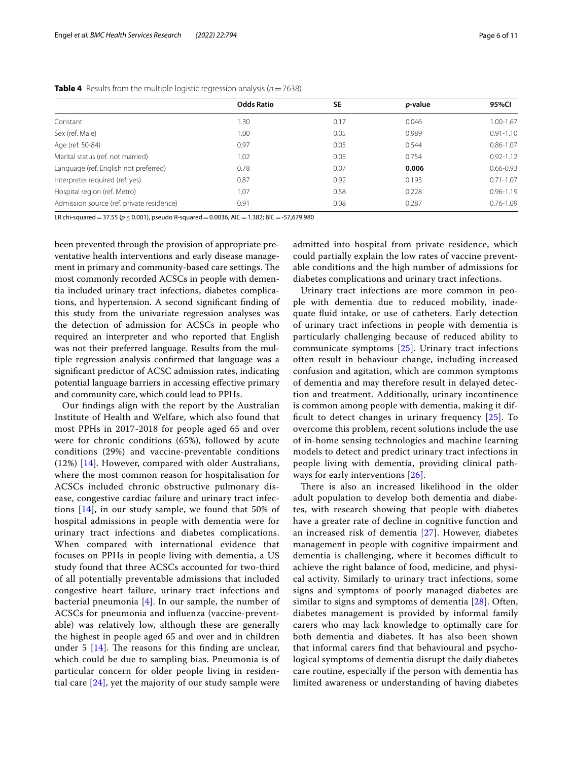|                                           | <b>Odds Ratio</b> | <b>SE</b> | <i>p</i> -value | 95%Cl         |
|-------------------------------------------|-------------------|-----------|-----------------|---------------|
| Constant                                  | 1.30              | 0.17      | 0.046           | 1.00-1.67     |
| Sex (ref. Male)                           | 1.00              | 0.05      | 0.989           | $0.91 - 1.10$ |
| Age (ref. 50-84)                          | 0.97              | 0.05      | 0.544           | $0.86 - 1.07$ |
| Marital status (ref. not married)         | 1.02              | 0.05      | 0.754           | $0.92 - 1.12$ |
| Language (ref. English not preferred)     | 0.78              | 0.07      | 0.006           | $0.66 - 0.93$ |
| Interpreter required (ref. yes)           | 0.87              | 0.92      | 0.193           | $0.71 - 1.07$ |
| Hospital region (ref. Metro)              | 1.07              | 0.58      | 0.228           | $0.96 - 1.19$ |
| Admission source (ref. private residence) | 0.91              | 0.08      | 0.287           | $0.76 - 1.09$ |

### <span id="page-5-0"></span>**Table 4** Results from the multiple logistic regression analysis (*n*=7638)

LR chi-squared=37.55 (*p*≤0.001), pseudo R-squared=0.0036, AIC=1.382; BIC=-57,679.980

been prevented through the provision of appropriate preventative health interventions and early disease management in primary and community-based care settings. The most commonly recorded ACSCs in people with dementia included urinary tract infections, diabetes complications, and hypertension. A second signifcant fnding of this study from the univariate regression analyses was the detection of admission for ACSCs in people who required an interpreter and who reported that English was not their preferred language. Results from the multiple regression analysis confrmed that language was a signifcant predictor of ACSC admission rates, indicating potential language barriers in accessing efective primary and community care, which could lead to PPHs.

Our fndings align with the report by the Australian Institute of Health and Welfare, which also found that most PPHs in 2017-2018 for people aged 65 and over were for chronic conditions (65%), followed by acute conditions (29%) and vaccine-preventable conditions (12%) [[14\]](#page-9-6). However, compared with older Australians, where the most common reason for hospitalisation for ACSCs included chronic obstructive pulmonary disease, congestive cardiac failure and urinary tract infections [[14\]](#page-9-6), in our study sample, we found that 50% of hospital admissions in people with dementia were for urinary tract infections and diabetes complications. When compared with international evidence that focuses on PPHs in people living with dementia, a US study found that three ACSCs accounted for two-third of all potentially preventable admissions that included congestive heart failure, urinary tract infections and bacterial pneumonia  $[4]$  $[4]$ . In our sample, the number of ACSCs for pneumonia and infuenza (vaccine-preventable) was relatively low, although these are generally the highest in people aged 65 and over and in children under 5  $[14]$ . The reasons for this finding are unclear, which could be due to sampling bias. Pneumonia is of particular concern for older people living in residential care [[24\]](#page-9-17), yet the majority of our study sample were admitted into hospital from private residence, which could partially explain the low rates of vaccine preventable conditions and the high number of admissions for diabetes complications and urinary tract infections.

Urinary tract infections are more common in people with dementia due to reduced mobility, inadequate fuid intake, or use of catheters. Early detection of urinary tract infections in people with dementia is particularly challenging because of reduced ability to communicate symptoms [[25\]](#page-9-18). Urinary tract infections often result in behaviour change, including increased confusion and agitation, which are common symptoms of dementia and may therefore result in delayed detection and treatment. Additionally, urinary incontinence is common among people with dementia, making it difficult to detect changes in urinary frequency  $[25]$  $[25]$  $[25]$ . To overcome this problem, recent solutions include the use of in-home sensing technologies and machine learning models to detect and predict urinary tract infections in people living with dementia, providing clinical pathways for early interventions [[26\]](#page-9-19).

There is also an increased likelihood in the older adult population to develop both dementia and diabetes, with research showing that people with diabetes have a greater rate of decline in cognitive function and an increased risk of dementia [[27](#page-9-20)]. However, diabetes management in people with cognitive impairment and dementia is challenging, where it becomes difficult to achieve the right balance of food, medicine, and physical activity. Similarly to urinary tract infections, some signs and symptoms of poorly managed diabetes are similar to signs and symptoms of dementia [\[28](#page-9-21)]. Often, diabetes management is provided by informal family carers who may lack knowledge to optimally care for both dementia and diabetes. It has also been shown that informal carers fnd that behavioural and psychological symptoms of dementia disrupt the daily diabetes care routine, especially if the person with dementia has limited awareness or understanding of having diabetes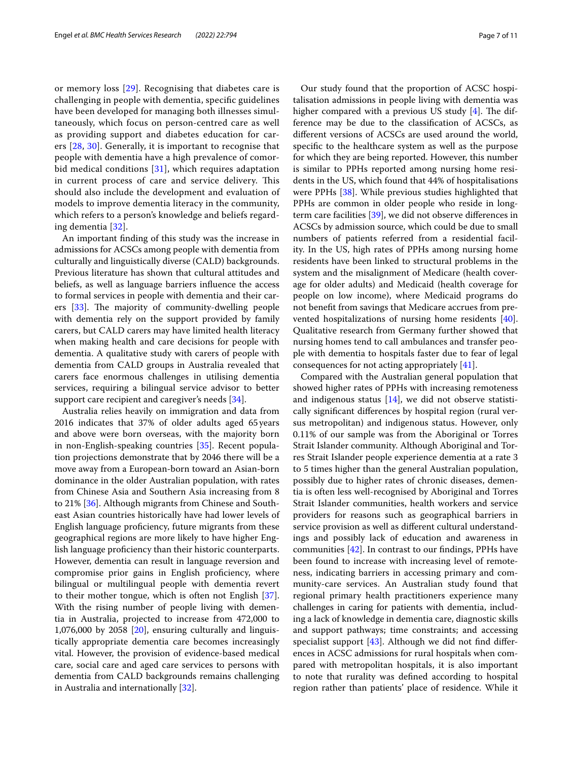or memory loss [[29\]](#page-9-22). Recognising that diabetes care is challenging in people with dementia, specifc guidelines have been developed for managing both illnesses simultaneously, which focus on person-centred care as well as providing support and diabetes education for carers [\[28](#page-9-21), [30\]](#page-9-23). Generally, it is important to recognise that people with dementia have a high prevalence of comorbid medical conditions [[31\]](#page-9-24), which requires adaptation in current process of care and service delivery. This should also include the development and evaluation of models to improve dementia literacy in the community, which refers to a person's knowledge and beliefs regarding dementia [\[32](#page-9-25)].

An important fnding of this study was the increase in admissions for ACSCs among people with dementia from culturally and linguistically diverse (CALD) backgrounds. Previous literature has shown that cultural attitudes and beliefs, as well as language barriers infuence the access to formal services in people with dementia and their carers  $[33]$  $[33]$ . The majority of community-dwelling people with dementia rely on the support provided by family carers, but CALD carers may have limited health literacy when making health and care decisions for people with dementia. A qualitative study with carers of people with dementia from CALD groups in Australia revealed that carers face enormous challenges in utilising dementia services, requiring a bilingual service advisor to better support care recipient and caregiver's needs [\[34\]](#page-9-27).

Australia relies heavily on immigration and data from 2016 indicates that 37% of older adults aged 65 years and above were born overseas, with the majority born in non-English-speaking countries [\[35](#page-9-28)]. Recent population projections demonstrate that by 2046 there will be a move away from a European-born toward an Asian-born dominance in the older Australian population, with rates from Chinese Asia and Southern Asia increasing from 8 to 21% [[36\]](#page-9-29). Although migrants from Chinese and Southeast Asian countries historically have had lower levels of English language profciency, future migrants from these geographical regions are more likely to have higher English language profciency than their historic counterparts. However, dementia can result in language reversion and compromise prior gains in English proficiency, where bilingual or multilingual people with dementia revert to their mother tongue, which is often not English [\[37](#page-9-30)]. With the rising number of people living with dementia in Australia, projected to increase from 472,000 to 1,076,000 by 2058 [[20](#page-9-12)], ensuring culturally and linguistically appropriate dementia care becomes increasingly vital. However, the provision of evidence-based medical care, social care and aged care services to persons with dementia from CALD backgrounds remains challenging in Australia and internationally [\[32](#page-9-25)].

Our study found that the proportion of ACSC hospitalisation admissions in people living with dementia was higher compared with a previous US study  $[4]$  $[4]$ . The difference may be due to the classifcation of ACSCs, as diferent versions of ACSCs are used around the world, specifc to the healthcare system as well as the purpose for which they are being reported. However, this number is similar to PPHs reported among nursing home residents in the US, which found that 44% of hospitalisations were PPHs [\[38](#page-9-31)]. While previous studies highlighted that PPHs are common in older people who reside in longterm care facilities [\[39\]](#page-9-32), we did not observe diferences in ACSCs by admission source, which could be due to small numbers of patients referred from a residential facility. In the US, high rates of PPHs among nursing home residents have been linked to structural problems in the system and the misalignment of Medicare (health coverage for older adults) and Medicaid (health coverage for people on low income), where Medicaid programs do not beneft from savings that Medicare accrues from prevented hospitalizations of nursing home residents [\[40](#page-9-33)]. Qualitative research from Germany further showed that nursing homes tend to call ambulances and transfer people with dementia to hospitals faster due to fear of legal consequences for not acting appropriately [\[41\]](#page-9-34).

Compared with the Australian general population that showed higher rates of PPHs with increasing remoteness and indigenous status  $[14]$  $[14]$ , we did not observe statistically signifcant diferences by hospital region (rural versus metropolitan) and indigenous status. However, only 0.11% of our sample was from the Aboriginal or Torres Strait Islander community. Although Aboriginal and Torres Strait Islander people experience dementia at a rate 3 to 5 times higher than the general Australian population, possibly due to higher rates of chronic diseases, dementia is often less well-recognised by Aboriginal and Torres Strait Islander communities, health workers and service providers for reasons such as geographical barriers in service provision as well as diferent cultural understandings and possibly lack of education and awareness in communities  $[42]$  $[42]$ . In contrast to our findings, PPHs have been found to increase with increasing level of remoteness, indicating barriers in accessing primary and community-care services. An Australian study found that regional primary health practitioners experience many challenges in caring for patients with dementia, including a lack of knowledge in dementia care, diagnostic skills and support pathways; time constraints; and accessing specialist support  $[43]$  $[43]$ . Although we did not find differences in ACSC admissions for rural hospitals when compared with metropolitan hospitals, it is also important to note that rurality was defned according to hospital region rather than patients' place of residence. While it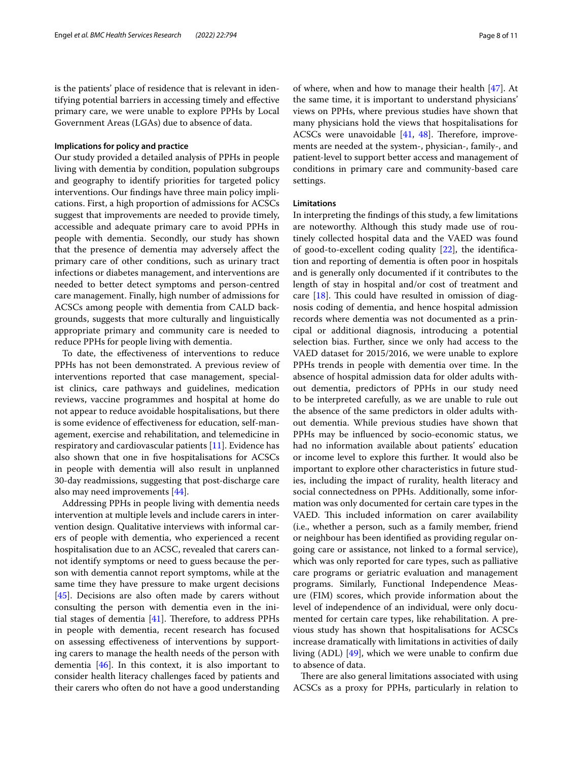is the patients' place of residence that is relevant in identifying potential barriers in accessing timely and efective primary care, we were unable to explore PPHs by Local Government Areas (LGAs) due to absence of data.

#### **Implications for policy and practice**

Our study provided a detailed analysis of PPHs in people living with dementia by condition, population subgroups and geography to identify priorities for targeted policy interventions. Our fndings have three main policy implications. First, a high proportion of admissions for ACSCs suggest that improvements are needed to provide timely, accessible and adequate primary care to avoid PPHs in people with dementia. Secondly, our study has shown that the presence of dementia may adversely afect the primary care of other conditions, such as urinary tract infections or diabetes management, and interventions are needed to better detect symptoms and person-centred care management. Finally, high number of admissions for ACSCs among people with dementia from CALD backgrounds, suggests that more culturally and linguistically appropriate primary and community care is needed to reduce PPHs for people living with dementia.

To date, the efectiveness of interventions to reduce PPHs has not been demonstrated. A previous review of interventions reported that case management, specialist clinics, care pathways and guidelines, medication reviews, vaccine programmes and hospital at home do not appear to reduce avoidable hospitalisations, but there is some evidence of efectiveness for education, self-management, exercise and rehabilitation, and telemedicine in respiratory and cardiovascular patients [[11](#page-9-3)]. Evidence has also shown that one in fve hospitalisations for ACSCs in people with dementia will also result in unplanned 30-day readmissions, suggesting that post-discharge care also may need improvements [\[44](#page-9-37)].

Addressing PPHs in people living with dementia needs intervention at multiple levels and include carers in intervention design. Qualitative interviews with informal carers of people with dementia, who experienced a recent hospitalisation due to an ACSC, revealed that carers cannot identify symptoms or need to guess because the person with dementia cannot report symptoms, while at the same time they have pressure to make urgent decisions [[45\]](#page-9-38). Decisions are also often made by carers without consulting the person with dementia even in the initial stages of dementia  $[41]$  $[41]$ . Therefore, to address PPHs in people with dementia, recent research has focused on assessing efectiveness of interventions by supporting carers to manage the health needs of the person with dementia [[46\]](#page-9-39). In this context, it is also important to consider health literacy challenges faced by patients and their carers who often do not have a good understanding of where, when and how to manage their health [\[47](#page-9-40)]. At the same time, it is important to understand physicians' views on PPHs, where previous studies have shown that many physicians hold the views that hospitalisations for ACSCs were unavoidable  $[41, 48]$  $[41, 48]$  $[41, 48]$  $[41, 48]$  $[41, 48]$ . Therefore, improvements are needed at the system-, physician-, family-, and patient-level to support better access and management of conditions in primary care and community-based care settings.

## **Limitations**

In interpreting the fndings of this study, a few limitations are noteworthy. Although this study made use of routinely collected hospital data and the VAED was found of good-to-excellent coding quality [\[22](#page-9-14)], the identifcation and reporting of dementia is often poor in hospitals and is generally only documented if it contributes to the length of stay in hospital and/or cost of treatment and care  $[18]$  $[18]$ . This could have resulted in omission of diagnosis coding of dementia, and hence hospital admission records where dementia was not documented as a principal or additional diagnosis, introducing a potential selection bias. Further, since we only had access to the VAED dataset for 2015/2016, we were unable to explore PPHs trends in people with dementia over time. In the absence of hospital admission data for older adults without dementia, predictors of PPHs in our study need to be interpreted carefully, as we are unable to rule out the absence of the same predictors in older adults without dementia. While previous studies have shown that PPHs may be infuenced by socio-economic status, we had no information available about patients' education or income level to explore this further. It would also be important to explore other characteristics in future studies, including the impact of rurality, health literacy and social connectedness on PPHs. Additionally, some information was only documented for certain care types in the VAED. This included information on carer availability (i.e., whether a person, such as a family member, friend or neighbour has been identifed as providing regular ongoing care or assistance, not linked to a formal service), which was only reported for care types, such as palliative care programs or geriatric evaluation and management programs. Similarly, Functional Independence Measure (FIM) scores, which provide information about the level of independence of an individual, were only documented for certain care types, like rehabilitation. A previous study has shown that hospitalisations for ACSCs increase dramatically with limitations in activities of daily living (ADL) [[49\]](#page-9-42), which we were unable to confrm due to absence of data.

There are also general limitations associated with using ACSCs as a proxy for PPHs, particularly in relation to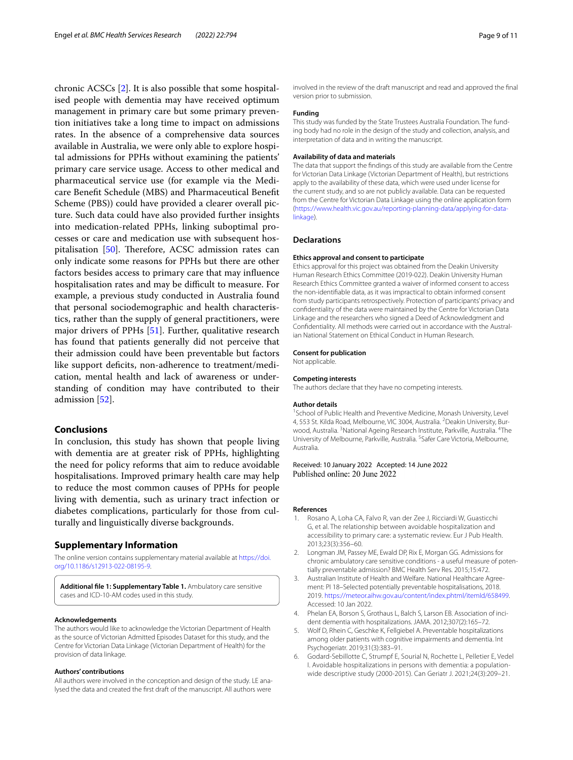chronic ACSCs [[2\]](#page-8-1). It is also possible that some hospitalised people with dementia may have received optimum management in primary care but some primary prevention initiatives take a long time to impact on admissions rates. In the absence of a comprehensive data sources available in Australia, we were only able to explore hospital admissions for PPHs without examining the patients' primary care service usage. Access to other medical and pharmaceutical service use (for example via the Medicare Beneft Schedule (MBS) and Pharmaceutical Beneft Scheme (PBS)) could have provided a clearer overall picture. Such data could have also provided further insights into medication-related PPHs, linking suboptimal processes or care and medication use with subsequent hospitalisation  $[50]$  $[50]$ . Therefore, ACSC admission rates can only indicate some reasons for PPHs but there are other factors besides access to primary care that may infuence hospitalisation rates and may be difficult to measure. For example, a previous study conducted in Australia found that personal sociodemographic and health characteristics, rather than the supply of general practitioners, were major drivers of PPHs [[51\]](#page-10-0). Further, qualitative research has found that patients generally did not perceive that their admission could have been preventable but factors like support deficits, non-adherence to treatment/medication, mental health and lack of awareness or understanding of condition may have contributed to their admission [[52\]](#page-10-1).

# **Conclusions**

In conclusion, this study has shown that people living with dementia are at greater risk of PPHs, highlighting the need for policy reforms that aim to reduce avoidable hospitalisations. Improved primary health care may help to reduce the most common causes of PPHs for people living with dementia, such as urinary tract infection or diabetes complications, particularly for those from culturally and linguistically diverse backgrounds.

# **Supplementary Information**

The online version contains supplementary material available at [https://doi.](https://doi.org/10.1186/s12913-022-08195-9) [org/10.1186/s12913-022-08195-9](https://doi.org/10.1186/s12913-022-08195-9).

<span id="page-8-5"></span>**Additional fle 1: Supplementary Table 1.** Ambulatory care sensitive cases and ICD-10-AM codes used in this study.

#### **Acknowledgements**

The authors would like to acknowledge the Victorian Department of Health as the source of Victorian Admitted Episodes Dataset for this study, and the Centre for Victorian Data Linkage (Victorian Department of Health) for the provision of data linkage.

#### **Authors' contributions**

All authors were involved in the conception and design of the study. LE analysed the data and created the frst draft of the manuscript. All authors were

involved in the review of the draft manuscript and read and approved the fnal version prior to submission.

#### **Funding**

This study was funded by the State Trustees Australia Foundation. The funding body had no role in the design of the study and collection, analysis, and interpretation of data and in writing the manuscript.

#### **Availability of data and materials**

The data that support the fndings of this study are available from the Centre for Victorian Data Linkage (Victorian Department of Health), but restrictions apply to the availability of these data, which were used under license for the current study, and so are not publicly available. Data can be requested from the Centre for Victorian Data Linkage using the online application form ([https://www.health.vic.gov.au/reporting-planning-data/applying-for-data](https://www.health.vic.gov.au/reporting-planning-data/applying-for-data-linkage)[linkage](https://www.health.vic.gov.au/reporting-planning-data/applying-for-data-linkage)).

#### **Declarations**

#### **Ethics approval and consent to participate**

Ethics approval for this project was obtained from the Deakin University Human Research Ethics Committee (2019-022). Deakin University Human Research Ethics Committee granted a waiver of informed consent to access the non-identifable data, as it was impractical to obtain informed consent from study participants retrospectively. Protection of participants' privacy and confdentiality of the data were maintained by the Centre for Victorian Data Linkage and the researchers who signed a Deed of Acknowledgment and Confdentiality. All methods were carried out in accordance with the Australian National Statement on Ethical Conduct in Human Research.

#### **Consent for publication**

Not applicable.

#### **Competing interests**

The authors declare that they have no competing interests.

#### **Author details**

<sup>1</sup> School of Public Health and Preventive Medicine, Monash University, Level 4, 553 St. Kilda Road, Melbourne, VIC 3004, Australia. <sup>2</sup> Deakin University, Burwood, Australia. <sup>3</sup>National Ageing Research Institute, Parkville, Australia. <sup>4</sup>The University of Melbourne, Parkville, Australia. <sup>5</sup>Safer Care Victoria, Melbourne, Australia.

Received: 10 January 2022 Accepted: 14 June 2022 Published online: 20 June 2022

### **References**

- <span id="page-8-0"></span>1. Rosano A, Loha CA, Falvo R, van der Zee J, Ricciardi W, Guasticchi G, et al. The relationship between avoidable hospitalization and accessibility to primary care: a systematic review. Eur J Pub Health. 2013;23(3):356–60.
- <span id="page-8-1"></span>2. Longman JM, Passey ME, Ewald DP, Rix E, Morgan GG. Admissions for chronic ambulatory care sensitive conditions - a useful measure of potentially preventable admission? BMC Health Serv Res. 2015;15:472.
- <span id="page-8-2"></span>3. Australian Institute of Health and Welfare. National Healthcare Agreement: PI 18–Selected potentially preventable hospitalisations, 2018. 2019. [https://meteor.aihw.gov.au/content/index.phtml/itemId/658499.](https://meteor.aihw.gov.au/content/index.phtml/itemId/658499) Accessed: 10 Jan 2022.
- <span id="page-8-3"></span>4. Phelan EA, Borson S, Grothaus L, Balch S, Larson EB. Association of incident dementia with hospitalizations. JAMA. 2012;307(2):165–72.
- 5. Wolf D, Rhein C, Geschke K, Fellgiebel A. Preventable hospitalizations among older patients with cognitive impairments and dementia. Int Psychogeriatr. 2019;31(3):383–91.
- <span id="page-8-4"></span>6. Godard-Sebillotte C, Strumpf E, Sourial N, Rochette L, Pelletier E, Vedel I. Avoidable hospitalizations in persons with dementia: a populationwide descriptive study (2000-2015). Can Geriatr J. 2021;24(3):209–21.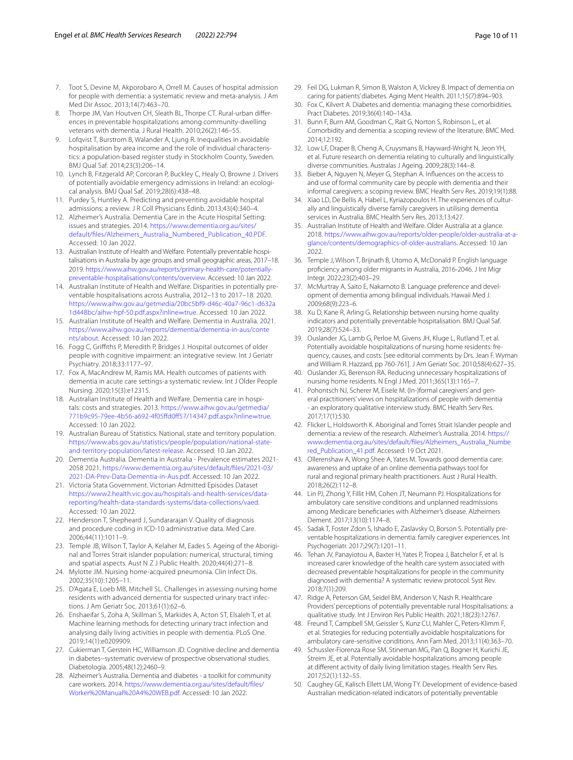- <span id="page-9-0"></span>7. Toot S, Devine M, Akporobaro A, Orrell M. Causes of hospital admission for people with dementia: a systematic review and meta-analysis. J Am Med Dir Assoc. 2013;14(7):463–70.
- <span id="page-9-1"></span>8. Thorpe JM, Van Houtven CH, Sleath BL, Thorpe CT. Rural-urban diferences in preventable hospitalizations among community-dwelling veterans with dementia. J Rural Health. 2010;26(2):146–55.
- <span id="page-9-2"></span>9. Lofqvist T, Burstrom B, Walander A, Ljung R. Inequalities in avoidable hospitalisation by area income and the role of individual characteristics: a population-based register study in Stockholm County, Sweden. BMJ Qual Saf. 2014;23(3):206–14.
- <span id="page-9-16"></span>10. Lynch B, Fitzgerald AP, Corcoran P, Buckley C, Healy O, Browne J. Drivers of potentially avoidable emergency admissions in Ireland: an ecological analysis. BMJ Qual Saf. 2019;28(6):438–48.
- <span id="page-9-3"></span>11. Purdey S, Huntley A. Predicting and preventing avoidable hospital admissions: a review. J R Coll Physicians Edinb. 2013;43(4):340–4.
- <span id="page-9-4"></span>12. Alzheimer's Australia. Dementia Care in the Acute Hospital Setting: issues and strategies. 2014. [https://www.dementia.org.au/sites/](https://www.dementia.org.au/sites/default/files/Alzheimers_Australia_Numbered_Publication_40.PDF) [default/fles/Alzheimers\\_Australia\\_Numbered\\_Publication\\_40.PDF.](https://www.dementia.org.au/sites/default/files/Alzheimers_Australia_Numbered_Publication_40.PDF) Accessed: 10 Jan 2022.
- <span id="page-9-5"></span>13. Australian Institute of Health and Welfare. Potentially preventable hospitalisations in Australia by age groups and small geographic areas, 2017–18. 2019. [https://www.aihw.gov.au/reports/primary-health-care/potentially](https://www.aihw.gov.au/reports/primary-health-care/potentially-preventable-hospitalisations/contents/overview)[preventable-hospitalisations/contents/overview](https://www.aihw.gov.au/reports/primary-health-care/potentially-preventable-hospitalisations/contents/overview). Accessed: 10 Jan 2022.
- <span id="page-9-6"></span>14. Australian Institute of Health and Welfare. Disparities in potentially preventable hospitalisations across Australia, 2012–13 to 2017–18. 2020. [https://www.aihw.gov.au/getmedia/20bc5bf9-d46c-40a7-96c1-d632a](https://www.aihw.gov.au/getmedia/20bc5bf9-d46c-40a7-96c1-d632a1d448bc/aihw-hpf-50.pdf.aspx?inline=true) [1d448bc/aihw-hpf-50.pdf.aspx?inline](https://www.aihw.gov.au/getmedia/20bc5bf9-d46c-40a7-96c1-d632a1d448bc/aihw-hpf-50.pdf.aspx?inline=true)=true. Accessed: 10 Jan 2022.
- <span id="page-9-7"></span>15. Australian Institute of Health and Welfare. Dementia in Australia. 2021. [https://www.aihw.gov.au/reports/dementia/dementia-in-aus/conte](https://www.aihw.gov.au/reports/dementia/dementia-in-aus/contents/about) [nts/about](https://www.aihw.gov.au/reports/dementia/dementia-in-aus/contents/about). Accessed: 10 Jan 2022.
- <span id="page-9-8"></span>16. Fogg C, Grifths P, Meredith P, Bridges J. Hospital outcomes of older people with cognitive impairment: an integrative review. Int J Geriatr Psychiatry. 2018;33:1177–97.
- <span id="page-9-9"></span>17. Fox A, MacAndrew M, Ramis MA. Health outcomes of patients with dementia in acute care settings-a systematic review. Int J Older People Nursing. 2020;15(3):e12315.
- <span id="page-9-10"></span>18. Australian Institute of Health and Welfare. Dementia care in hospitals: costs and strategies. 2013. [https://www.aihw.gov.au/getmedia/](https://www.aihw.gov.au/getmedia/771b9c95-79ee-4b56-a692-4f05ffd0ff57/14347.pdf.aspx?inline=true) [771b9c95-79ee-4b56-a692-4f05ffd0f57/14347.pdf.aspx?inline](https://www.aihw.gov.au/getmedia/771b9c95-79ee-4b56-a692-4f05ffd0ff57/14347.pdf.aspx?inline=true)=true. Accessed: 10 Jan 2022.
- <span id="page-9-11"></span>19. Australian Bureau of Statistics. National, state and territory population. [https://www.abs.gov.au/statistics/people/population/national-state](https://www.abs.gov.au/statistics/people/population/national-state-and-territory-population/latest-release)[and-territory-population/latest-release](https://www.abs.gov.au/statistics/people/population/national-state-and-territory-population/latest-release). Accessed: 10 Jan 2022.
- <span id="page-9-12"></span>20. Dementia Australia. Dementia in Australia - Prevalence estimates 2021- 2058 2021. [https://www.dementia.org.au/sites/default/fles/2021-03/](https://www.dementia.org.au/sites/default/files/2021-03/2021-DA-Prev-Data-Dementia-in-Aus.pdf) [2021-DA-Prev-Data-Dementia-in-Aus.pdf](https://www.dementia.org.au/sites/default/files/2021-03/2021-DA-Prev-Data-Dementia-in-Aus.pdf). Accessed: 10 Jan 2022.
- <span id="page-9-13"></span>21. Victoria Stata Government. Victorian Admitted Episodes Dataset [https://www2.health.vic.gov.au/hospitals-and-health-services/data](https://www2.health.vic.gov.au/hospitals-and-health-services/data-reporting/health-data-standards-systems/data-collections/vaed)[reporting/health-data-standards-systems/data-collections/vaed](https://www2.health.vic.gov.au/hospitals-and-health-services/data-reporting/health-data-standards-systems/data-collections/vaed). Accessed: 10 Jan 2022.
- <span id="page-9-14"></span>22. Henderson T, Shepheard J, Sundararajan V. Quality of diagnosis and procedure coding in ICD-10 administrative data. Med Care. 2006;44(11):1011–9.
- <span id="page-9-15"></span>23. Temple JB, Wilson T, Taylor A, Kelaher M, Eades S. Ageing of the Aboriginal and Torres Strait islander population: numerical, structural, timing and spatial aspects. Aust N Z J Public Health. 2020;44(4):271–8.
- <span id="page-9-17"></span>24. Mylotte JM. Nursing home-acquired pneumonia. Clin Infect Dis. 2002;35(10):1205–11.
- <span id="page-9-18"></span>25. D'Agata E, Loeb MB, Mitchell SL. Challenges in assessing nursing home residents with advanced dementia for suspected urinary tract infections. J Am Geriatr Soc. 2013;61(1):62–6.
- <span id="page-9-19"></span>26. Enshaeifar S, Zoha A, Skillman S, Markides A, Acton ST, Elsaleh T, et al. Machine learning methods for detecting urinary tract infection and analysing daily living activities in people with dementia. PLoS One. 2019;14(1):e0209909.
- <span id="page-9-20"></span>27. Cukierman T, Gerstein HC, Williamson JD. Cognitive decline and dementia in diabetes--systematic overview of prospective observational studies. Diabetologia. 2005;48(12):2460–9.
- <span id="page-9-21"></span>28. Alzheimer's Australia. Dementia and diabetes - a toolkit for community care workers. 2014. [https://www.dementia.org.au/sites/default/fles/](https://www.dementia.org.au/sites/default/files/Worker%20Manual%20A4%20WEB.pdf) [Worker%20Manual%20A4%20WEB.pdf.](https://www.dementia.org.au/sites/default/files/Worker%20Manual%20A4%20WEB.pdf) Accessed: 10 Jan 2022.
- <span id="page-9-22"></span>29. Feil DG, Lukman R, Simon B, Walston A, Vickrey B. Impact of dementia on caring for patients' diabetes. Aging Ment Health. 2011;15(7):894–903.
- <span id="page-9-23"></span>30. Fox C, Kilvert A. Diabetes and dementia: managing these comorbidities. Pract Diabetes. 2019;36(4):140–143a.
- <span id="page-9-24"></span>31. Bunn F, Burn AM, Goodman C, Rait G, Norton S, Robinson L, et al. Comorbidity and dementia: a scoping review of the literature. BMC Med. 2014;12:192.
- <span id="page-9-25"></span>32. Low LF, Draper B, Cheng A, Cruysmans B, Hayward-Wright N, Jeon YH, et al. Future research on dementia relating to culturally and linguistically diverse communities. Australas J Ageing. 2009;28(3):144–8.
- <span id="page-9-26"></span>33. Bieber A, Nguyen N, Meyer G, Stephan A. Infuences on the access to and use of formal community care by people with dementia and their informal caregivers: a scoping review. BMC Health Serv Res. 2019;19(1):88.
- <span id="page-9-27"></span>34. Xiao LD, De Bellis A, Habel L, Kyriazopoulos H. The experiences of culturally and linguistically diverse family caregivers in utilising dementia services in Australia. BMC Health Serv Res. 2013;13:427.
- <span id="page-9-28"></span>35. Australian Institute of Health and Welfare. Older Australia at a glance. 2018. [https://www.aihw.gov.au/reports/older-people/older-australia-at-a](https://www.aihw.gov.au/reports/older-people/older-australia-at-a-glance/contents/demographics-of-older-australians)[glance/contents/demographics-of-older-australians.](https://www.aihw.gov.au/reports/older-people/older-australia-at-a-glance/contents/demographics-of-older-australians) Accessed: 10 Jan 2022.
- <span id="page-9-29"></span>36. Temple J, Wilson T, Brijnath B, Utomo A, McDonald P. English language profciency among older migrants in Australia, 2016-2046. J Int Migr Integr. 2022;23(2):403–29.
- <span id="page-9-30"></span>37. McMurtray A, Saito E, Nakamoto B. Language preference and development of dementia among bilingual individuals. Hawaii Med J. 2009;68(9):223–6.
- <span id="page-9-31"></span>38. Xu D, Kane R, Arling G. Relationship between nursing home quality indicators and potentially preventable hospitalisation. BMJ Qual Saf. 2019;28(7):524–33.
- <span id="page-9-32"></span>39. Ouslander JG, Lamb G, Perloe M, Givens JH, Kluge L, Rutland T, et al. Potentially avoidable hospitalizations of nursing home residents: frequency, causes, and costs: [see editorial comments by Drs. Jean F. Wyman and William R. Hazzard, pp 760-761]. J Am Geriatr Soc. 2010;58(4):627–35.
- <span id="page-9-33"></span>40. Ouslander JG, Berenson RA. Reducing unnecessary hospitalizations of nursing home residents. N Engl J Med. 2011;365(13):1165–7.
- <span id="page-9-34"></span>41. Pohontsch NJ, Scherer M, Eisele M. (In-)formal caregivers' and general practitioners' views on hospitalizations of people with dementia - an exploratory qualitative interview study. BMC Health Serv Res. 2017;17(1):530.
- <span id="page-9-35"></span>42. Flicker L, Holdsworth K. Aboriginal and Torres Strait Islander people and dementia: a review of the research. Alzheimer's Australia. 2014. [https://](https://www.dementia.org.au/sites/default/files/Alzheimers_Australia_Numbered_Publication_41.pdf) [www.dementia.org.au/sites/default/fles/Alzheimers\\_Australia\\_Numbe](https://www.dementia.org.au/sites/default/files/Alzheimers_Australia_Numbered_Publication_41.pdf) [red\\_Publication\\_41.pdf](https://www.dementia.org.au/sites/default/files/Alzheimers_Australia_Numbered_Publication_41.pdf). Accessed: 19 Oct 2021.
- <span id="page-9-36"></span>43. Ollerenshaw A, Wong Shee A, Yates M. Towards good dementia care: awareness and uptake of an online dementia pathways tool for rural and regional primary health practitioners. Aust J Rural Health. 2018;26(2):112–8.
- <span id="page-9-37"></span>44. Lin PJ, Zhong Y, Fillit HM, Cohen JT, Neumann PJ. Hospitalizations for ambulatory care sensitive conditions and unplanned readmissions among Medicare benefciaries with Alzheimer's disease. Alzheimers Dement. 2017;13(10):1174–8.
- <span id="page-9-38"></span>45. Sadak T, Foster Zdon S, Ishado E, Zaslavsky O, Borson S. Potentially preventable hospitalizations in dementia: family caregiver experiences. Int Psychogeriatr. 2017;29(7):1201–11.
- <span id="page-9-39"></span>46. Tehan JV, Panayiotou A, Baxter H, Yates P, Tropea J, Batchelor F, et al. Is increased carer knowledge of the health care system associated with decreased preventable hospitalizations for people in the community diagnosed with dementia? A systematic review protocol. Syst Rev. 2018;7(1):209.
- <span id="page-9-40"></span>47. Ridge A, Peterson GM, Seidel BM, Anderson V, Nash R. Healthcare Providers' perceptions of potentially preventable rural Hospitalisations: a qualitative study. Int J Environ Res Public Health. 2021;18(23):12767.
- <span id="page-9-41"></span>48. Freund T, Campbell SM, Geissler S, Kunz CU, Mahler C, Peters-Klimm F, et al. Strategies for reducing potentially avoidable hospitalizations for ambulatory care-sensitive conditions. Ann Fam Med. 2013;11(4):363–70.
- <span id="page-9-42"></span>49. Schussler-Fiorenza Rose SM, Stineman MG, Pan Q, Bogner H, Kurichi JE, Streim JE, et al. Potentially avoidable hospitalizations among people at diferent activity of daily living limitation stages. Health Serv Res. 2017;52(1):132–55.
- <span id="page-9-43"></span>50. Caughey GE, Kalisch Ellett LM, Wong TY. Development of evidence-based Australian medication-related indicators of potentially preventable